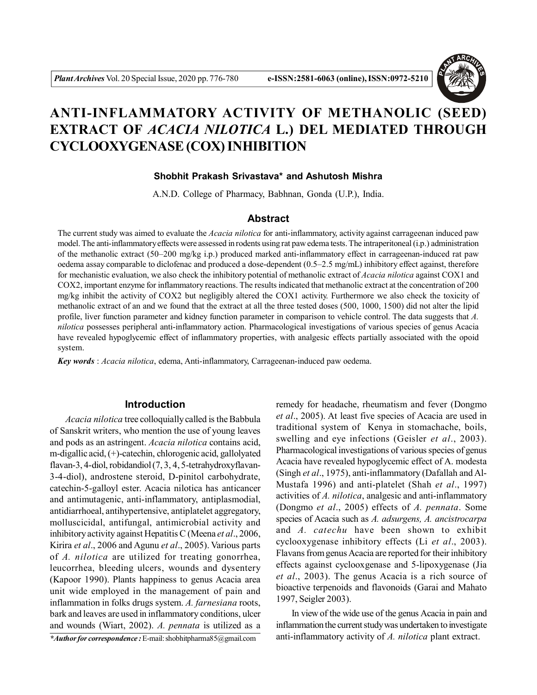

# **ANTI-INFLAMMATORY ACTIVITY OF METHANOLIC (SEED) EXTRACT OF** *ACACIA NILOTICA* **L.) DEL MEDIATED THROUGH CYCLOOXYGENASE (COX) INHIBITION**

# **Shobhit Prakash Srivastava\* and Ashutosh Mishra**

A.N.D. College of Pharmacy, Babhnan, Gonda (U.P.), India.

# **Abstract**

The current study was aimed to evaluate the *Acacia nilotica* for anti-inflammatory, activity against carrageenan induced paw model. The anti-inflammatory effects were assessed in rodents using rat paw edema tests. The intraperitoneal (i.p.) administration of the methanolic extract (50–200 mg/kg i.p.) produced marked anti-inflammatory effect in carrageenan-induced rat paw oedema assay comparable to diclofenac and produced a dose-dependent (0.5–2.5 mg/mL) inhibitory effect against, therefore for mechanistic evaluation, we also check the inhibitory potential of methanolic extract of *Acacia nilotica* against COX1 and COX2, important enzyme for inflammatory reactions. The results indicated that methanolic extract at the concentration of 200 mg/kg inhibit the activity of COX2 but negligibly altered the COX1 activity. Furthermore we also check the toxicity of methanolic extract of an and we found that the extract at all the three tested doses (500, 1000, 1500) did not alter the lipid profile, liver function parameter and kidney function parameter in comparison to vehicle control. The data suggests that *A. nilotica* possesses peripheral anti-inflammatory action. Pharmacological investigations of various species of genus Acacia have revealed hypoglycemic effect of inflammatory properties, with analgesic effects partially associated with the opoid system.

*Key words* : *Acacia nilotica*, edema, Anti-inflammatory, Carrageenan-induced paw oedema.

## **Introduction**

*Acacia nilotica* tree colloquially called is the Babbula of Sanskrit writers, who mention the use of young leaves and pods as an astringent. *Acacia nilotica* contains acid, m-digallic acid, (+)-catechin, chlorogenic acid, gallolyated flavan-3, 4-diol, robidandiol (7, 3, 4, 5-tetrahydroxyflavan-3-4-diol), androstene steroid, D-pinitol carbohydrate, catechin-5-galloyl ester. Acacia nilotica has anticancer and antimutagenic, anti-inflammatory, antiplasmodial, antidiarrhoeal, antihypertensive, antiplatelet aggregatory, molluscicidal, antifungal, antimicrobial activity and inhibitory activity against Hepatitis C (Meena *et al*., 2006, Kirira *et al*., 2006 and Agunu *et al*., 2005). Various parts of *A. nilotica* are utilized for treating gonorrhea, leucorrhea, bleeding ulcers, wounds and dysentery (Kapoor 1990). Plants happiness to genus Acacia area unit wide employed in the management of pain and inflammation in folks drugs system. *A. farnesiana* roots, bark and leaves are used in inflammatory conditions, ulcer and wounds (Wiart, 2002). *A. pennata* is utilized as a

*\*Author for correspondence :* E-mail: shobhitpharma85@gmail.com

remedy for headache, rheumatism and fever (Dongmo *et al*., 2005). At least five species of Acacia are used in traditional system of Kenya in stomachache, boils, swelling and eye infections (Geisler *et al*., 2003). Pharmacological investigations of various species of genus Acacia have revealed hypoglycemic effect of A. modesta (Singh *et al*., 1975), anti-inflammatory (Dafallah and Al-Mustafa 1996) and anti-platelet (Shah *et al*., 1997) activities of *A. nilotica*, analgesic and anti-inflammatory (Dongmo *et al*., 2005) effects of *A. pennata*. Some species of Acacia such as *A. adsurgens, A. ancistrocarpa* and *A. catechu* have been shown to exhibit cyclooxygenase inhibitory effects (Li *et al*., 2003). Flavans from genus Acacia are reported for their inhibitory effects against cyclooxgenase and 5-lipoxygenase (Jia *et al*., 2003). The genus Acacia is a rich source of bioactive terpenoids and flavonoids (Garai and Mahato 1997, Seigler 2003).

In view of the wide use of the genus Acacia in pain and inflammation the current study was undertaken to investigate anti-inflammatory activity of *A. nilotica* plant extract.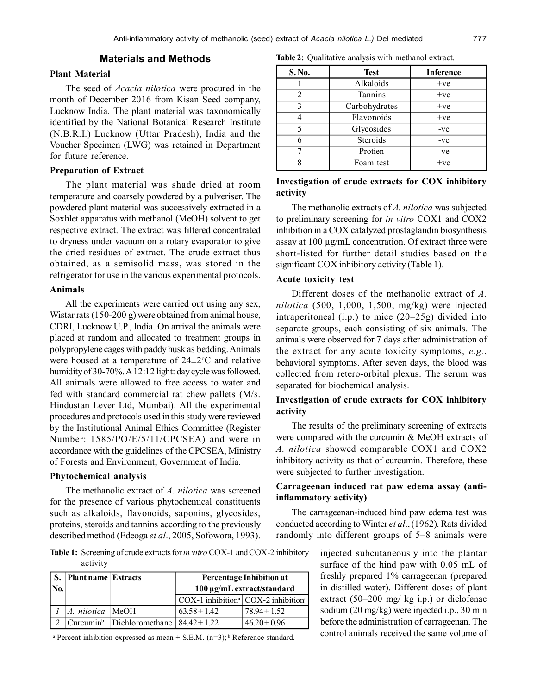## **Materials and Methods**

## **Plant Material**

The seed of *Acacia nilotica* were procured in the month of December 2016 from Kisan Seed company, Lucknow India. The plant material was taxonomically identified by the National Botanical Research Institute (N.B.R.I.) Lucknow (Uttar Pradesh), India and the Voucher Specimen (LWG) was retained in Department for future reference.

#### **Preparation of Extract**

The plant material was shade dried at room temperature and coarsely powdered by a pulveriser. The powdered plant material was successively extracted in a Soxhlet apparatus with methanol (MeOH) solvent to get respective extract. The extract was filtered concentrated to dryness under vacuum on a rotary evaporator to give the dried residues of extract. The crude extract thus obtained, as a semisolid mass, was stored in the refrigerator for use in the various experimental protocols.

# **Animals**

All the experiments were carried out using any sex, Wistar rats (150-200 g) were obtained from animal house, CDRI, Lucknow U.P., India. On arrival the animals were placed at random and allocated to treatment groups in polypropylene cages with paddy husk as bedding. Animals were housed at a temperature of  $24 \pm 2$ <sup>o</sup>C and relative humidity of 30-70%. A 12:12 light: day cycle was followed. All animals were allowed to free access to water and fed with standard commercial rat chew pallets (M/s. Hindustan Lever Ltd, Mumbai). All the experimental procedures and protocols used in this study were reviewed by the Institutional Animal Ethics Committee (Register Number: 1585/PO/E/5/11/CPCSEA) and were in accordance with the guidelines of the CPCSEA, Ministry of Forests and Environment, Government of India.

#### **Phytochemical analysis**

The methanolic extract of *A. nilotica* was screened for the presence of various phytochemical constituents such as alkaloids, flavonoids, saponins, glycosides, proteins, steroids and tannins according to the previously described method (Edeoga *et al*., 2005, Sofowora, 1993).

**Table 2:** Qualitative analysis with methanol extract.

| S. No. | <b>Test</b>   | <b>Inference</b> |
|--------|---------------|------------------|
|        | Alkaloids     | $+ve$            |
| 2      | Tannins       | $+ve$            |
| 3      | Carbohydrates | $+ve$            |
|        | Flavonoids    | $+ve$            |
| 5      | Glycosides    | $-ve$            |
| 6      | Steroids      | $-ve$            |
|        | Protien       | $-ve$            |
|        | Foam test     | $+ve$            |

## **Investigation of crude extracts for COX inhibitory activity**

The methanolic extracts of *A. nilotica* was subjected to preliminary screening for *in vitro* COX1 and COX2 inhibition in a COX catalyzed prostaglandin biosynthesis assay at 100 µg/mL concentration. Of extract three were short-listed for further detail studies based on the significant COX inhibitory activity (Table 1).

#### **Acute toxicity test**

Different doses of the methanolic extract of *A. nilotica* (500, 1,000, 1,500, mg/kg) were injected intraperitoneal (i.p.) to mice (20–25g) divided into separate groups, each consisting of six animals. The animals were observed for 7 days after administration of the extract for any acute toxicity symptoms, *e.g.*, behavioral symptoms. After seven days, the blood was collected from retero-orbital plexus. The serum was separated for biochemical analysis.

# **Investigation of crude extracts for COX inhibitory activity**

The results of the preliminary screening of extracts were compared with the curcumin & MeOH extracts of *A. nilotica* showed comparable COX1 and COX2 inhibitory activity as that of curcumin. Therefore, these were subjected to further investigation.

# **Carrageenan induced rat paw edema assay (antiinflammatory activity)**

The carrageenan-induced hind paw edema test was conducted according to Winter *et al*., (1962). Rats divided randomly into different groups of 5–8 animals were

**Table 1:** Screening of crude extracts for *in vitro* COX-1 and COX-2 inhibitory activity

|         | S. Plant name Extracts |                                                                                | Percentage Inhibition at   |                                                                 |  |
|---------|------------------------|--------------------------------------------------------------------------------|----------------------------|-----------------------------------------------------------------|--|
| $N_{0}$ |                        |                                                                                | 100 μg/mL extract/standard |                                                                 |  |
|         |                        |                                                                                |                            | $COX-1$ inhibition <sup>a</sup> $COX-2$ inhibition <sup>a</sup> |  |
|         | A. nilotica   MeOH     |                                                                                | $63.58 \pm 1.42$           | $78.94 \pm 1.52$                                                |  |
|         |                        | $\vert$ Curcumin <sup>b</sup> $\vert$ Dichloromethane $\vert$ 84.42 $\pm$ 1.22 |                            | $46.20 \pm 0.96$                                                |  |

<sup>a</sup> Percent inhibition expressed as mean  $\pm$  S.E.M. (n=3);<sup>b</sup> Reference standard.

injected subcutaneously into the plantar surface of the hind paw with 0.05 mL of freshly prepared 1% carrageenan (prepared in distilled water). Different doses of plant extract (50–200 mg/ kg i.p.) or diclofenac sodium (20 mg/kg) were injected i.p., 30 min before the administration of carrageenan. The control animals received the same volume of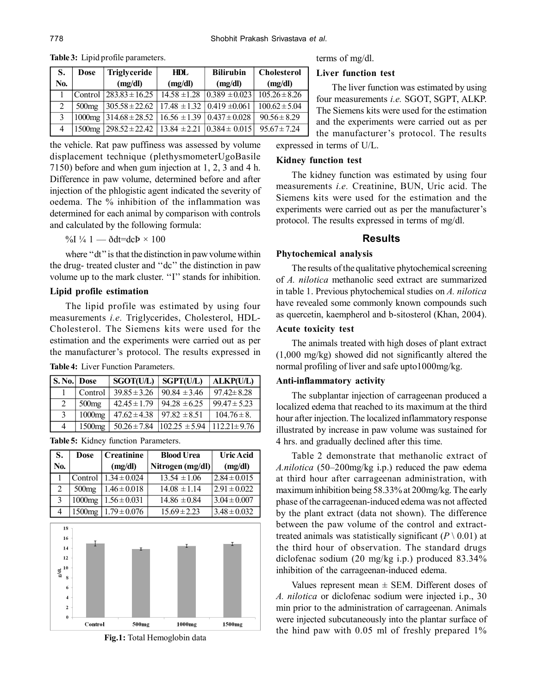| S.  | Dose              | <b>Triglyceride</b>                                                                          | HDL              | <b>Bilirubin</b>  | <b>Cholesterol</b> |
|-----|-------------------|----------------------------------------------------------------------------------------------|------------------|-------------------|--------------------|
| No. |                   | (mg/dl)                                                                                      | (mg/dl)          | (mg/dl)           | (mg/dl)            |
|     | Control           | $283.83 \pm 16.25$                                                                           | $14.58 \pm 1.28$ | $0.389 \pm 0.023$ | $105.26 \pm 8.26$  |
| 2   | 500 <sub>mg</sub> | $305.58 \pm 22.62$   17.48 $\pm 1.32$   0.419 $\pm 0.061$                                    |                  |                   | $100.62 \pm 5.04$  |
| 3   | $1000$ mg         | $314.68 \pm 28.52$   16.56 $\pm 1.39$   0.437 $\pm$ 0.028                                    |                  |                   | $90.56 \pm 8.29$   |
| 4   | 1500mg            | $\left[298.52 \pm 22.42\right]$ $\left[13.84 \pm 2.21\right]$ $\left[0.384 \pm 0.015\right]$ |                  |                   | $95.67 \pm 7.24$   |

**Table 3:** Lipid profile parameters.

the vehicle. Rat paw puffiness was assessed by volume displacement technique (plethysmometerUgoBasile 7150) before and when gum injection at 1, 2, 3 and 4 h. Difference in paw volume, determined before and after injection of the phlogistic agent indicated the severity of oedema. The % inhibition of the inflammation was determined for each animal by comparison with controls and calculated by the following formula:

%I ¼ 1 —  $\delta$ dt=dcÞ × 100

where "dt" is that the distinction in paw volume within the drug- treated cluster and ''dc'' the distinction in paw volume up to the mark cluster. "I" stands for inhibition.

### **Lipid profile estimation**

The lipid profile was estimated by using four measurements *i.e.* Triglycerides, Cholesterol, HDL-Cholesterol. The Siemens kits were used for the estimation and the experiments were carried out as per the manufacturer's protocol. The results expressed in **Table 4:** Liver Function Parameters.

| S. No. Dose   |                   | <b>SGOT(U/L)</b> | <b>SGPT(U/L)</b>  | <b>ALKP(U/L)</b>  |
|---------------|-------------------|------------------|-------------------|-------------------|
|               | Control           | $39.85 \pm 3.26$ | $90.84 \pm 3.46$  | $97.42 \pm 8.28$  |
| $\mathcal{L}$ | 500 <sub>mg</sub> | $42.45 \pm 1.79$ | $94.28 \pm 6.25$  | $99.47 \pm 5.23$  |
| $\mathcal{R}$ | $1000$ mg         | $47.62 \pm 4.38$ | $97.82 \pm 8.51$  | $104.76 \pm 8$ .  |
|               | $1500$ mg         | $50.26 \pm 7.84$ | $102.25 \pm 5.94$ | $112.21 \pm 9.76$ |

|  |  |  | Table 5: Kidney function Parameters. |
|--|--|--|--------------------------------------|
|--|--|--|--------------------------------------|

| S.  | <b>Dose</b>        | <b>Creatinine</b> | <b>Blood Urea</b> | <b>Uric Acid</b> |
|-----|--------------------|-------------------|-------------------|------------------|
| No. |                    | (mg/dl)           | Nitrogen (mg/dl)  | (mg/dl)          |
|     | Control            | $1.34 \pm 0.024$  | $13.54 \pm 1.06$  | $2.84 \pm 0.015$ |
| 2   | 500 <sub>mg</sub>  | $1.46 \pm 0.018$  | $14.08 \pm 1.14$  | $2.91 \pm 0.022$ |
| 3   | 1000mg             | $1.56 \pm 0.031$  | $14.86 \pm 0.84$  | $3.04 \pm 0.007$ |
| 4   | 1500 <sub>mg</sub> | $1.79 \pm 0.076$  | $15.69 \pm 2.23$  | $3.48 \pm 0.032$ |
|     |                    |                   |                   |                  |
| 18  |                    |                   |                   |                  |
| 16  |                    |                   |                   | $\mathbf{r}$     |





## terms of mg/dl.

## **Liver function test**

The liver function was estimated by using four measurements *i.e.* SGOT, SGPT, ALKP. The Siemens kits were used for the estimation and the experiments were carried out as per the manufacturer's protocol. The results

expressed in terms of U/L.

# **Kidney function test**

The kidney function was estimated by using four measurements *i.e.* Creatinine, BUN, Uric acid. The Siemens kits were used for the estimation and the experiments were carried out as per the manufacturer's protocol. The results expressed in terms of mg/dl.

#### **Results**

#### **Phytochemical analysis**

The results of the qualitative phytochemical screening of *A. nilotica* methanolic seed extract are summarized in table 1. Previous phytochemical studies on *A. nilotica* have revealed some commonly known compounds such as quercetin, kaempherol and b-sitosterol (Khan, 2004).

#### **Acute toxicity test**

The animals treated with high doses of plant extract (1,000 mg/kg) showed did not significantly altered the normal profiling of liver and safe upto1000mg/kg.

# **Anti-inflammatory activity**

The subplantar injection of carrageenan produced a localized edema that reached to its maximum at the third hour after injection. The localized inflammatory response illustrated by increase in paw volume was sustained for 4 hrs. and gradually declined after this time.

Table 2 demonstrate that methanolic extract of *A.nilotica* (50–200mg/kg i.p.) reduced the paw edema at third hour after carrageenan administration, with maximum inhibition being 58.33% at 200mg/kg. The early phase of the carrageenan-induced edema was not affected by the plant extract (data not shown). The difference between the paw volume of the control and extracttreated animals was statistically significant  $(P \setminus 0.01)$  at the third hour of observation. The standard drugs diclofenac sodium (20 mg/kg i.p.) produced 83.34% inhibition of the carrageenan-induced edema.

Values represent mean  $\pm$  SEM. Different doses of *A. nilotica* or diclofenac sodium were injected i.p., 30 min prior to the administration of carrageenan. Animals were injected subcutaneously into the plantar surface of the hind paw with 0.05 ml of freshly prepared 1%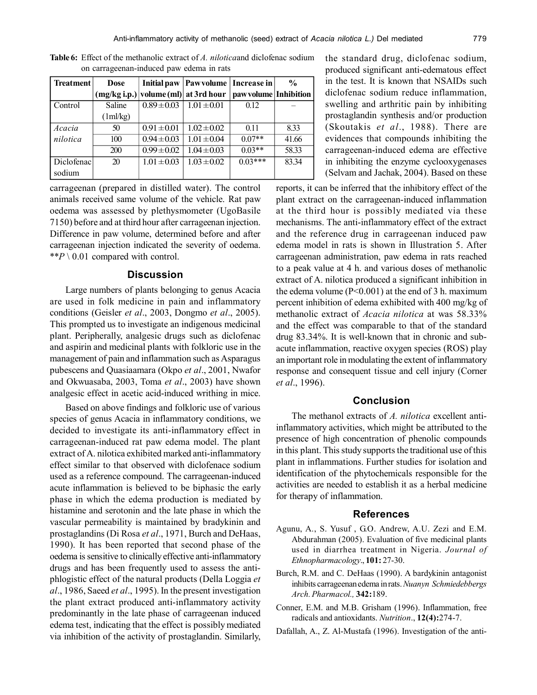| <b>Treatment</b> | <b>Dose</b> | Initial paw     | <b>Pawvolume</b> Increase in                                    |           | $\frac{0}{0}$ |
|------------------|-------------|-----------------|-----------------------------------------------------------------|-----------|---------------|
|                  |             |                 | (mg/kg i.p.)  volume (ml)  at 3rd hour  paw volume   Inhibition |           |               |
| Control          | Saline      | $0.89 \pm 0.03$ | $1.01 \pm 0.01$                                                 | 0.12      |               |
|                  | 1ml/kg)     |                 |                                                                 |           |               |
| Acacia           | 50          | $0.91 \pm 0.01$ | $1.02 \pm 0.02$                                                 | 0.11      | 8.33          |
| nilotica         | 100         | $0.94 \pm 0.03$ | $1.01 \pm 0.04$                                                 | $0.07**$  | 41.66         |
|                  | 200         | $0.99 \pm 0.02$ | $1.04 \pm 0.03$                                                 | $0.03**$  | 58.33         |
| Diclofenac       | 20          | $1.01 \pm 0.03$ | $1.03 \pm 0.02$                                                 | $0.03***$ | 83.34         |
| sodium           |             |                 |                                                                 |           |               |

**Table 6:** Effect of the methanolic extract of *A. nilotica*and diclofenac sodium on carrageenan-induced paw edema in rats

carrageenan (prepared in distilled water). The control animals received same volume of the vehicle. Rat paw oedema was assessed by plethysmometer (UgoBasile 7150) before and at third hour after carrageenan injection. Difference in paw volume, determined before and after carrageenan injection indicated the severity of oedema. \*\* $P \setminus 0.01$  compared with control.

# **Discussion**

Large numbers of plants belonging to genus Acacia are used in folk medicine in pain and inflammatory conditions (Geisler *et al*., 2003, Dongmo *et al*., 2005). This prompted us to investigate an indigenous medicinal plant. Peripherally, analgesic drugs such as diclofenac and aspirin and medicinal plants with folkloric use in the management of pain and inflammation such as Asparagus pubescens and Quasiaamara (Okpo *et al*., 2001, Nwafor and Okwuasaba, 2003, Toma *et al*., 2003) have shown analgesic effect in acetic acid-induced writhing in mice.

Based on above findings and folkloric use of various species of genus Acacia in inflammatory conditions, we decided to investigate its anti-inflammatory effect in carrageenan-induced rat paw edema model. The plant extract of A. nilotica exhibited marked anti-inflammatory effect similar to that observed with diclofenace sodium used as a reference compound. The carrageenan-induced acute inflammation is believed to be biphasic the early phase in which the edema production is mediated by histamine and serotonin and the late phase in which the vascular permeability is maintained by bradykinin and prostaglandins (Di Rosa *et al*., 1971, Burch and DeHaas, 1990). It has been reported that second phase of the oedema is sensitive to clinically effective anti-inflammatory drugs and has been frequently used to assess the antiphlogistic effect of the natural products (Della Loggia *et al*., 1986, Saeed *et al*., 1995). In the present investigation the plant extract produced anti-inflammatory activity predominantly in the late phase of carrageenan induced edema test, indicating that the effect is possibly mediated via inhibition of the activity of prostaglandin. Similarly,

the standard drug, diclofenac sodium, produced significant anti-edematous effect in the test. It is known that NSAIDs such diclofenac sodium reduce inflammation, swelling and arthritic pain by inhibiting prostaglandin synthesis and/or production (Skoutakis *et al*., 1988). There are evidences that compounds inhibiting the carrageenan-induced edema are effective in inhibiting the enzyme cyclooxygenases (Selvam and Jachak, 2004). Based on these

reports, it can be inferred that the inhibitory effect of the plant extract on the carrageenan-induced inflammation at the third hour is possibly mediated via these mechanisms. The anti-inflammatory effect of the extract and the reference drug in carrageenan induced paw edema model in rats is shown in Illustration 5. After carrageenan administration, paw edema in rats reached to a peak value at 4 h. and various doses of methanolic extract of A. nilotica produced a significant inhibition in the edema volume (P<0.001) at the end of 3 h. maximum percent inhibition of edema exhibited with 400 mg/kg of methanolic extract of *Acacia nilotica* at was 58.33% and the effect was comparable to that of the standard drug 83.34%. It is well-known that in chronic and subacute inflammation, reactive oxygen species (ROS) play an important role in modulating the extent of inflammatory response and consequent tissue and cell injury (Corner *et al*., 1996).

## **Conclusion**

The methanol extracts of *A. nilotica* excellent antiinflammatory activities, which might be attributed to the presence of high concentration of phenolic compounds in this plant. This study supports the traditional use of this plant in inflammations. Further studies for isolation and identification of the phytochemicals responsible for the activities are needed to establish it as a herbal medicine for therapy of inflammation.

#### **References**

- Agunu, A., S. Yusuf , G.O. Andrew, A.U. Zezi and E.M. Abdurahman (2005). Evaluation of five medicinal plants used in diarrhea treatment in Nigeria. *Journal of Ethnopharmacology*., **101:** 27-30.
- Burch, R.M. and C. DeHaas (1990). A bardykinin antagonist inhibits carrageenan edema in rats. *Nuanyn Schmiedebbergs Arch. Pharmacol.,* **342:**189.
- Conner, E.M. and M.B. Grisham (1996). Inflammation, free radicals and antioxidants. *Nutrition*., **12(4):**274-7.
- Dafallah, A., Z. Al-Mustafa (1996). Investigation of the anti-